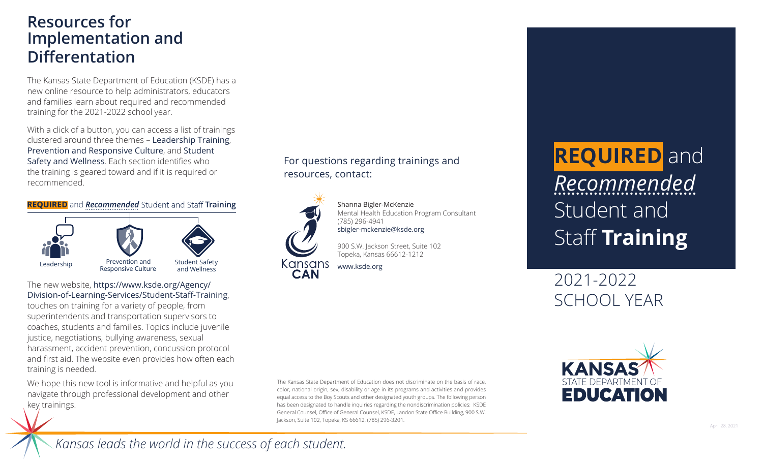## **Resources for Implementation and Differentation**

The Kansas State Department of Education (KSDE) has a new online resource to help administrators, educators and families learn about required and recommended training for the 2021-2022 school year.

With a click of a button, you can access a list of trainings clustered around three themes – [Leadership Training](https://www.ksde.org/Agency/Division-of-Learning-Services/Student-Staff-Training/Leadership-Training), [Prevention and Responsive Culture](https://www.ksde.org/Agency/Division-of-Learning-Services/Student-Staff-Training/Prevention-and-Responsive-Culture), and [Student](https://www.ksde.org/Agency/Division-of-Learning-Services/Student-Staff-Training/Student-Safety-and-Wellness)  [Safety and Wellness](https://www.ksde.org/Agency/Division-of-Learning-Services/Student-Staff-Training/Student-Safety-and-Wellness). Each section identifies who the training is geared toward and if it is required or recommended.

#### **REQUIRED** and *[Recommended](https://www.ksde.org/Agency/Division-of-Learning-Services/Student-Staff-Training)* Student and Staff Training



#### The new website, https://www.ksde.org/Agency/ [Division-of-Learning-Services/Student-Staff-Training](https://www.ksde.org/Agency/Division-of-Learning-Services/Student-Staff-Training),

touches on training for a variety of people, from superintendents and transportation supervisors to coaches, students and families. Topics include juvenile justice, negotiations, bullying awareness, sexual harassment, accident prevention, concussion protocol and first aid. The website even provides how often each training is needed.

We hope this new tool is informative and helpful as you navigate through professional development and other key trainings.

### For questions regarding trainings and resources, contact:



Shanna Bigler-McKenzie Mental Health Education Program Consultant (785) 296-4941 sbigler-mckenzie@ksde.org

900 S.W. Jackson Street, Suite 102 Topeka, Kansas 66612-1212

[www.ksde.org](https://www.ksde.org)

**REQUIRED** and *Recommended* Student and Staff **Training**

2021-2022 SCHOOL YEAR

The Kansas State Department of Education does not discriminate on the basis of race, color, national origin, sex, disability or age in its programs and activities and provides equal access to the Boy Scouts and other designated youth groups. The following person has been designated to handle inquiries regarding the nondiscrimination policies: KSDE General Counsel, Office of General Counsel, KSDE, Landon State Office Building, 900 S.W. Jackson, Suite 102, Topeka, KS 66612, (785) 296-3201.